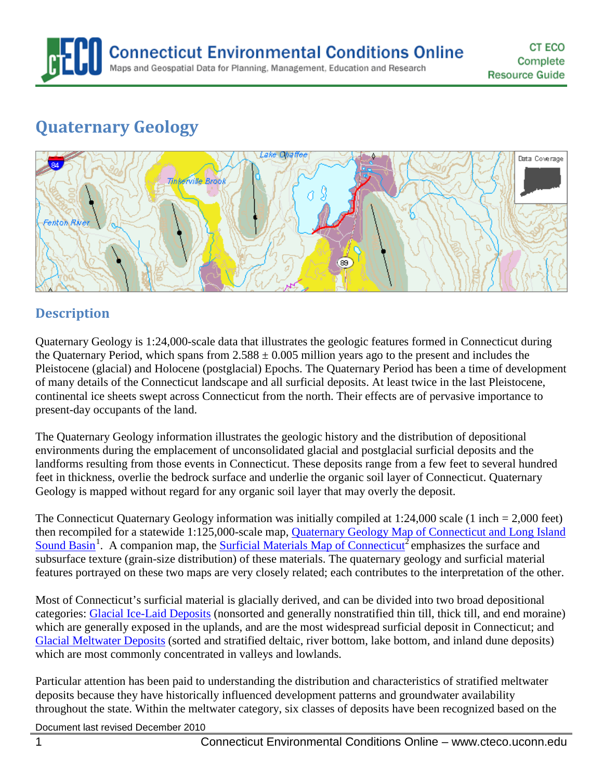

# **Quaternary Geology**



### **Description**

Quaternary Geology is 1:24,000-scale data that illustrates the geologic features formed in Connecticut during the Quaternary Period, which spans from  $2.588 \pm 0.005$  million years ago to the present and includes the Pleistocene (glacial) and Holocene (postglacial) Epochs. The Quaternary Period has been a time of development of many details of the Connecticut landscape and all surficial deposits. At least twice in the last Pleistocene, continental ice sheets swept across Connecticut from the north. Their effects are of pervasive importance to present-day occupants of the land.

The Quaternary Geology information illustrates the geologic history and the distribution of depositional environments during the emplacement of unconsolidated glacial and postglacial surficial deposits and the landforms resulting from those events in Connecticut. These deposits range from a few feet to several hundred feet in thickness, overlie the bedrock surface and underlie the organic soil layer of Connecticut. Quaternary Geology is mapped without regard for any organic soil layer that may overly the deposit.

The Connecticut Quaternary Geology information was initially compiled at 1:24,000 scale (1 inch = 2,000 feet) then recompiled for a statewide 1:125,000-scale map, **Quaternary Geology Map of Connecticut and Long Island** [Sound Basin](http://cteco.uconn.edu/map_catalog/maps/state/Quaternary_Geologic_Map_of_Connecticut_and_Long_Island_Sound_Basin.pdf)<sup>[1](#page-10-0)</sup>. A companion map, the **Surficial Materials Map of Connecticut**<sup>2</sup> emphasizes the surface and subsurface texture (grain-size distribution) of these materials. The quaternary geology and surficial material features portrayed on these two maps are very closely related; each contributes to the interpretation of the other.

Most of Connecticut's surficial material is glacially derived, and can be divided into two broad depositional categories: [Glacial Ice-Laid Deposits](#page-6-0) (nonsorted and generally nonstratified thin till, thick till, and end moraine) which are generally exposed in the uplands, and are the most widespread surficial deposit in Connecticut; and [Glacial Meltwater Deposits](#page-5-0) (sorted and stratified deltaic, river bottom, lake bottom, and inland dune deposits) which are most commonly concentrated in valleys and lowlands.

Particular attention has been paid to understanding the distribution and characteristics of stratified meltwater deposits because they have historically influenced development patterns and groundwater availability throughout the state. Within the meltwater category, six classes of deposits have been recognized based on the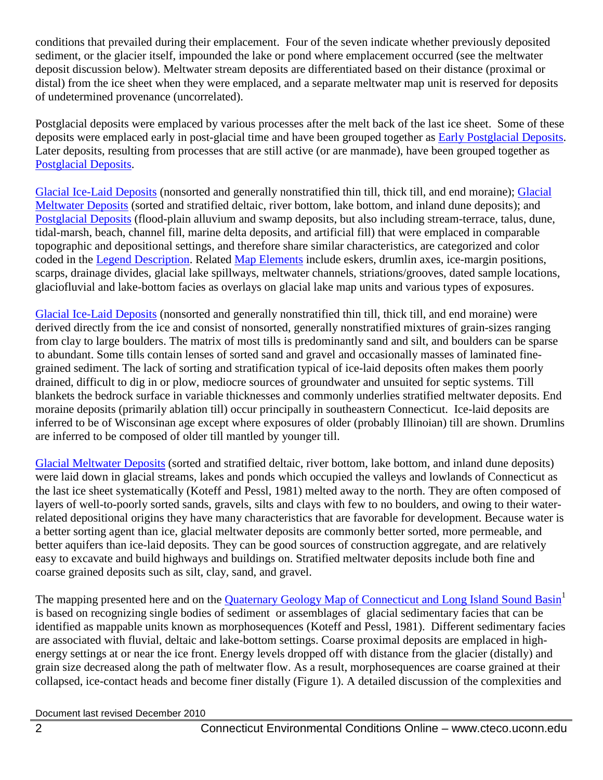conditions that prevailed during their emplacement. Four of the seven indicate whether previously deposited sediment, or the glacier itself, impounded the lake or pond where emplacement occurred (see the meltwater deposit discussion below). Meltwater stream deposits are differentiated based on their distance (proximal or distal) from the ice sheet when they were emplaced, and a separate meltwater map unit is reserved for deposits of undetermined provenance (uncorrelated).

Postglacial deposits were emplaced by various processes after the melt back of the last ice sheet. Some of these deposits were emplaced early in post-glacial time and have been grouped together as [Early Postglacial Deposits.](#page-4-0) Later deposits, resulting from processes that are still active (or are manmade), have been grouped together as [Postglacial Deposits.](#page-3-0)

[Glacial Ice-Laid Deposits](#page-6-0) (nonsorted and generally nonstratified thin till, thick till, and end moraine); [Glacial](#page-5-0)  [Meltwater Deposits](#page-5-0) (sorted and stratified deltaic, river bottom, lake bottom, and inland dune deposits); and [Postglacial Deposits](#page-3-0) (flood-plain alluvium and swamp deposits, but also including stream-terrace, talus, dune, tidal-marsh, beach, channel fill, marine delta deposits, and artificial fill) that were emplaced in comparable topographic and depositional settings, and therefore share similar characteristics, are categorized and color coded in the Legend Description. Related [Map Elements](#page-7-0) include eskers, drumlin axes, ice-margin positions, scarps, drainage divides, glacial lake spillways, meltwater channels, striations/grooves, dated sample locations, glaciofluvial and lake-bottom facies as overlays on glacial lake map units and various types of exposures.

[Glacial Ice-Laid Deposits](#page-6-0) (nonsorted and generally nonstratified thin till, thick till, and end moraine) were derived directly from the ice and consist of nonsorted, generally nonstratified mixtures of grain-sizes ranging from clay to large boulders. The matrix of most tills is predominantly sand and silt, and boulders can be sparse to abundant. Some tills contain lenses of sorted sand and gravel and occasionally masses of laminated finegrained sediment. The lack of sorting and stratification typical of ice-laid deposits often makes them poorly drained, difficult to dig in or plow, mediocre sources of groundwater and unsuited for septic systems. Till blankets the bedrock surface in variable thicknesses and commonly underlies stratified meltwater deposits. End moraine deposits (primarily ablation till) occur principally in southeastern Connecticut. Ice-laid deposits are inferred to be of Wisconsinan age except where exposures of older (probably Illinoian) till are shown. Drumlins are inferred to be composed of older till mantled by younger till.

[Glacial Meltwater Deposits](#page-5-0) (sorted and stratified deltaic, river bottom, lake bottom, and inland dune deposits) were laid down in glacial streams, lakes and ponds which occupied the valleys and lowlands of Connecticut as the last ice sheet systematically (Koteff and Pessl, 1981) melted away to the north. They are often composed of layers of well-to-poorly sorted sands, gravels, silts and clays with few to no boulders, and owing to their waterrelated depositional origins they have many characteristics that are favorable for development. Because water is a better sorting agent than ice, glacial meltwater deposits are commonly better sorted, more permeable, and better aquifers than ice-laid deposits. They can be good sources of construction aggregate, and are relatively easy to excavate and build highways and buildings on. Stratified meltwater deposits include both fine and coarse grained deposits such as silt, clay, sand, and gravel.

The mapping presented here and on the [Quaternary Geology Map of Connecticut](http://cteco.uconn.edu/map_catalog/maps/state/Quaternary_Geologic_Map_of_Connecticut_and_Long_Island_Sound_Basin.pdf) and Long Island Sound Basin<sup>1</sup> is based on recognizing single bodies of sediment or assemblages of glacial sedimentary facies that can be identified as mappable units known as morphosequences (Koteff and Pessl, 1981). Different sedimentary facies are associated with fluvial, deltaic and lake-bottom settings. Coarse proximal deposits are emplaced in highenergy settings at or near the ice front. Energy levels dropped off with distance from the glacier (distally) and grain size decreased along the path of meltwater flow. As a result, morphosequences are coarse grained at their collapsed, ice-contact heads and become finer distally (Figure 1). A detailed discussion of the complexities and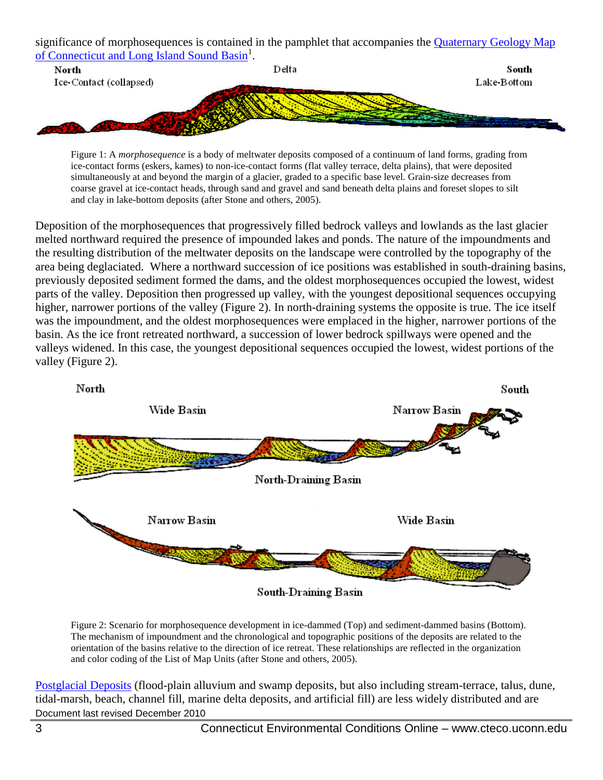significance of morphosequences is contained in the pamphlet that accompanies the [Quaternary Geology Map](http://cteco.uconn.edu/map_catalog/maps/state/Quaternary_Geologic_Map_of_Connecticut_and_Long_Island_Sound_Basin.pdf)  of Connecticut [and Long Island Sound Basin](http://cteco.uconn.edu/map_catalog/maps/state/Quaternary_Geologic_Map_of_Connecticut_and_Long_Island_Sound_Basin.pdf)<sup>1</sup>.



Figure 1: A *morphosequence* is a body of meltwater deposits composed of a continuum of land forms, grading from ice-contact forms (eskers, kames) to non-ice-contact forms (flat valley terrace, delta plains), that were deposited simultaneously at and beyond the margin of a glacier, graded to a specific base level. Grain-size decreases from coarse gravel at ice-contact heads, through sand and gravel and sand beneath delta plains and foreset slopes to silt and clay in lake-bottom deposits (after Stone and others, 2005).

Deposition of the morphosequences that progressively filled bedrock valleys and lowlands as the last glacier melted northward required the presence of impounded lakes and ponds. The nature of the impoundments and the resulting distribution of the meltwater deposits on the landscape were controlled by the topography of the area being deglaciated. Where a northward succession of ice positions was established in south-draining basins, previously deposited sediment formed the dams, and the oldest morphosequences occupied the lowest, widest parts of the valley. Deposition then progressed up valley, with the youngest depositional sequences occupying higher, narrower portions of the valley (Figure 2). In north-draining systems the opposite is true. The ice itself was the impoundment, and the oldest morphosequences were emplaced in the higher, narrower portions of the basin. As the ice front retreated northward, a succession of lower bedrock spillways were opened and the valleys widened. In this case, the youngest depositional sequences occupied the lowest, widest portions of the valley (Figure 2).



Figure 2: Scenario for morphosequence development in ice-dammed (Top) and sediment-dammed basins (Bottom). The mechanism of impoundment and the chronological and topographic positions of the deposits are related to the orientation of the basins relative to the direction of ice retreat. These relationships are reflected in the organization and color coding of the List of Map Units (after Stone and others, 2005).

Document last revised December 2010 [Postglacial Deposits](#page-3-0) (flood-plain alluvium and swamp deposits, but also including stream-terrace, talus, dune, tidal-marsh, beach, channel fill, marine delta deposits, and artificial fill) are less widely distributed and are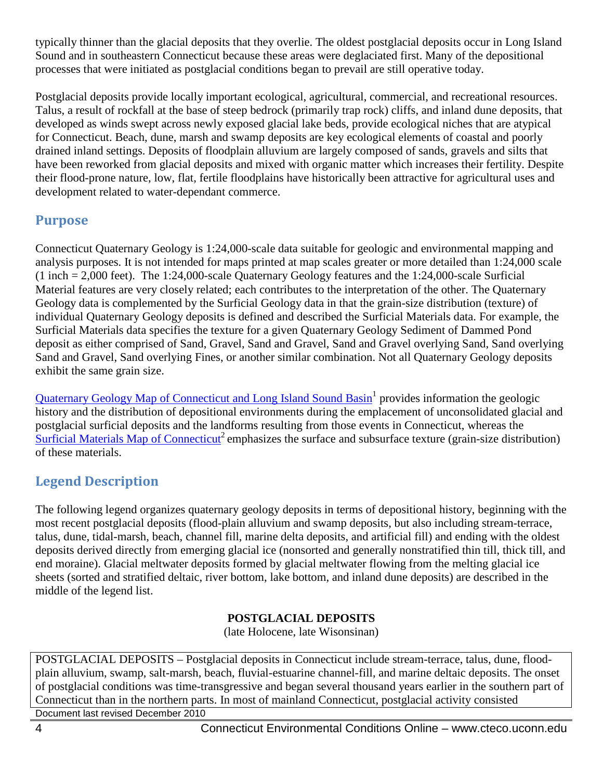typically thinner than the glacial deposits that they overlie. The oldest postglacial deposits occur in Long Island Sound and in southeastern Connecticut because these areas were deglaciated first. Many of the depositional processes that were initiated as postglacial conditions began to prevail are still operative today.

Postglacial deposits provide locally important ecological, agricultural, commercial, and recreational resources. Talus, a result of rockfall at the base of steep bedrock (primarily trap rock) cliffs, and inland dune deposits, that developed as winds swept across newly exposed glacial lake beds, provide ecological niches that are atypical for Connecticut. Beach, dune, marsh and swamp deposits are key ecological elements of coastal and poorly drained inland settings. Deposits of floodplain alluvium are largely composed of sands, gravels and silts that have been reworked from glacial deposits and mixed with organic matter which increases their fertility. Despite their flood-prone nature, low, flat, fertile floodplains have historically been attractive for agricultural uses and development related to water-dependant commerce.

## **Purpose**

Connecticut Quaternary Geology is 1:24,000-scale data suitable for geologic and environmental mapping and analysis purposes. It is not intended for maps printed at map scales greater or more detailed than 1:24,000 scale (1 inch = 2,000 feet). The 1:24,000-scale Quaternary Geology features and the 1:24,000-scale Surficial Material features are very closely related; each contributes to the interpretation of the other. The Quaternary Geology data is complemented by the Surficial Geology data in that the grain-size distribution (texture) of individual Quaternary Geology deposits is defined and described the Surficial Materials data. For example, the Surficial Materials data specifies the texture for a given Quaternary Geology Sediment of Dammed Pond deposit as either comprised of Sand, Gravel, Sand and Gravel, Sand and Gravel overlying Sand, Sand overlying Sand and Gravel, Sand overlying Fines, or another similar combination. Not all Quaternary Geology deposits exhibit the same grain size.

[Quaternary Geology Map of Connecticut](http://cteco.uconn.edu/map_catalog/maps/state/Quaternary_Geologic_Map_of_Connecticut_and_Long_Island_Sound_Basin.pdf) and Long Island Sound Basin<sup>1</sup> provides information the geologic history and the distribution of depositional environments during the emplacement of unconsolidated glacial and postglacial surficial deposits and the landforms resulting from those events in Connecticut, whereas the [Surficial Materials Map of Connecticut](http://cteco.uconn.edu/map_catalog/maps/state/Surficial_Materials_Map_of_Connecticut.pdf)<sup>2</sup> emphasizes the surface and subsurface texture (grain-size distribution) of these materials.

## **Legend Description**

The following legend organizes quaternary geology deposits in terms of depositional history, beginning with the most recent postglacial deposits (flood-plain alluvium and swamp deposits, but also including stream-terrace, talus, dune, tidal-marsh, beach, channel fill, marine delta deposits, and artificial fill) and ending with the oldest deposits derived directly from emerging glacial ice (nonsorted and generally nonstratified thin till, thick till, and end moraine). Glacial meltwater deposits formed by glacial meltwater flowing from the melting glacial ice sheets (sorted and stratified deltaic, river bottom, lake bottom, and inland dune deposits) are described in the middle of the legend list.

#### **POSTGLACIAL DEPOSITS**

(late Holocene, late Wisonsinan)

<span id="page-3-0"></span>POSTGLACIAL DEPOSITS – Postglacial deposits in Connecticut include stream-terrace, talus, dune, floodplain alluvium, swamp, salt-marsh, beach, fluvial-estuarine channel-fill, and marine deltaic deposits. The onset of postglacial conditions was time-transgressive and began several thousand years earlier in the southern part of Connecticut than in the northern parts. In most of mainland Connecticut, postglacial activity consisted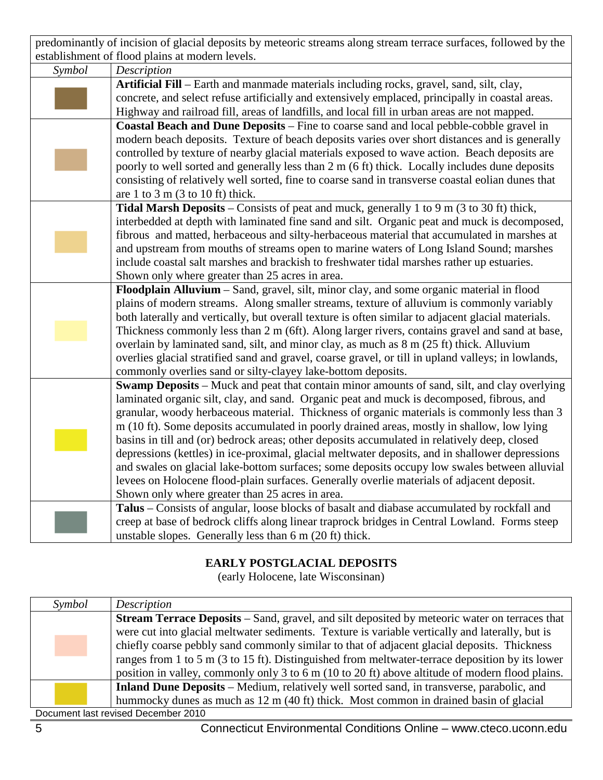predominantly of incision of glacial deposits by meteoric streams along stream terrace surfaces, followed by the establishment of flood plains at modern levels.

| Symbol | Description                                                                                         |
|--------|-----------------------------------------------------------------------------------------------------|
|        | Artificial Fill – Earth and manmade materials including rocks, gravel, sand, silt, clay,            |
|        | concrete, and select refuse artificially and extensively emplaced, principally in coastal areas.    |
|        | Highway and railroad fill, areas of landfills, and local fill in urban areas are not mapped.        |
|        | Coastal Beach and Dune Deposits - Fine to coarse sand and local pebble-cobble gravel in             |
|        | modern beach deposits. Texture of beach deposits varies over short distances and is generally       |
|        | controlled by texture of nearby glacial materials exposed to wave action. Beach deposits are        |
|        | poorly to well sorted and generally less than 2 m (6 ft) thick. Locally includes dune deposits      |
|        | consisting of relatively well sorted, fine to coarse sand in transverse coastal eolian dunes that   |
|        | are 1 to 3 m $(3$ to 10 ft) thick.                                                                  |
|        | Tidal Marsh Deposits – Consists of peat and muck, generally 1 to 9 m (3 to 30 ft) thick,            |
|        | interbedded at depth with laminated fine sand and silt. Organic peat and muck is decomposed,        |
|        | fibrous and matted, herbaceous and silty-herbaceous material that accumulated in marshes at         |
|        | and upstream from mouths of streams open to marine waters of Long Island Sound; marshes             |
|        | include coastal salt marshes and brackish to freshwater tidal marshes rather up estuaries.          |
|        | Shown only where greater than 25 acres in area.                                                     |
|        | Floodplain Alluvium - Sand, gravel, silt, minor clay, and some organic material in flood            |
|        | plains of modern streams. Along smaller streams, texture of alluvium is commonly variably           |
|        | both laterally and vertically, but overall texture is often similar to adjacent glacial materials.  |
|        | Thickness commonly less than 2 m (6ft). Along larger rivers, contains gravel and sand at base,      |
|        | overlain by laminated sand, silt, and minor clay, as much as 8 m (25 ft) thick. Alluvium            |
|        | overlies glacial stratified sand and gravel, coarse gravel, or till in upland valleys; in lowlands, |
|        | commonly overlies sand or silty-clayey lake-bottom deposits.                                        |
|        | Swamp Deposits - Muck and peat that contain minor amounts of sand, silt, and clay overlying         |
|        | laminated organic silt, clay, and sand. Organic peat and muck is decomposed, fibrous, and           |
|        | granular, woody herbaceous material. Thickness of organic materials is commonly less than 3         |
|        | m (10 ft). Some deposits accumulated in poorly drained areas, mostly in shallow, low lying          |
|        | basins in till and (or) bedrock areas; other deposits accumulated in relatively deep, closed        |
|        | depressions (kettles) in ice-proximal, glacial meltwater deposits, and in shallower depressions     |
|        | and swales on glacial lake-bottom surfaces; some deposits occupy low swales between alluvial        |
|        | levees on Holocene flood-plain surfaces. Generally overlie materials of adjacent deposit.           |
|        | Shown only where greater than 25 acres in area.                                                     |
|        | Talus – Consists of angular, loose blocks of basalt and diabase accumulated by rockfall and         |
|        | creep at base of bedrock cliffs along linear traprock bridges in Central Lowland. Forms steep       |
|        | unstable slopes. Generally less than 6 m (20 ft) thick.                                             |

#### **EARLY POSTGLACIAL DEPOSITS**

(early Holocene, late Wisconsinan)

<span id="page-4-0"></span>

| Symbol                              | Description                                                                                          |
|-------------------------------------|------------------------------------------------------------------------------------------------------|
|                                     | <b>Stream Terrace Deposits</b> – Sand, gravel, and silt deposited by meteoric water on terraces that |
|                                     | were cut into glacial meltwater sediments. Texture is variable vertically and laterally, but is      |
|                                     | chiefly coarse pebbly sand commonly similar to that of adjacent glacial deposits. Thickness          |
|                                     | ranges from 1 to 5 m (3 to 15 ft). Distinguished from meltwater-terrace deposition by its lower      |
|                                     | position in valley, commonly only 3 to 6 m (10 to 20 ft) above altitude of modern flood plains.      |
|                                     | Inland Dune Deposits – Medium, relatively well sorted sand, in transverse, parabolic, and            |
|                                     | hummocky dunes as much as 12 m (40 ft) thick. Most common in drained basin of glacial                |
| Document last revised December 2010 |                                                                                                      |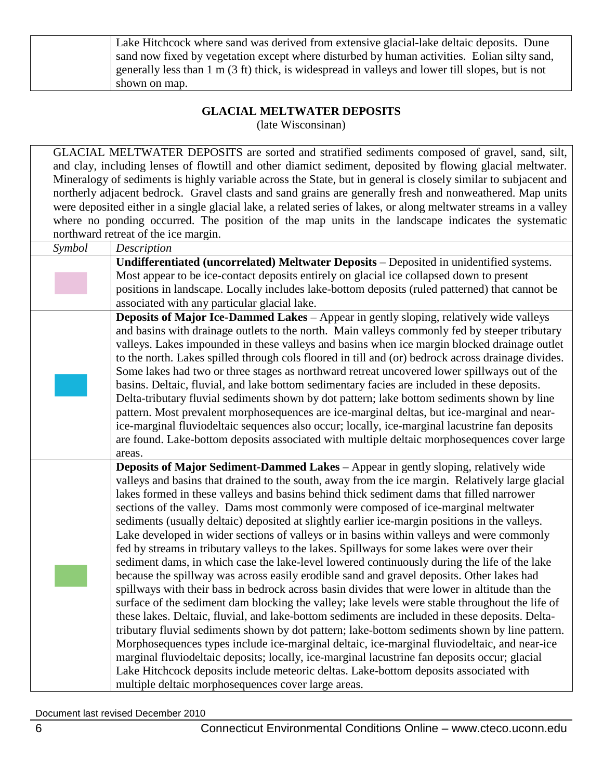| Lake Hitchcock where sand was derived from extensive glacial-lake deltaic deposits. Dune                   |
|------------------------------------------------------------------------------------------------------------|
| sand now fixed by vegetation except where disturbed by human activities. Eolian silty sand,                |
| generally less than $1 \text{ m}$ (3 ft) thick, is widespread in valleys and lower till slopes, but is not |
| shown on map.                                                                                              |

# **GLACIAL MELTWATER DEPOSITS**

(late Wisconsinan)

<span id="page-5-0"></span>GLACIAL MELTWATER DEPOSITS are sorted and stratified sediments composed of gravel, sand, silt, and clay, including lenses of flowtill and other diamict sediment, deposited by flowing glacial meltwater. Mineralogy of sediments is highly variable across the State, but in general is closely similar to subjacent and northerly adjacent bedrock. Gravel clasts and sand grains are generally fresh and nonweathered. Map units were deposited either in a single glacial lake, a related series of lakes, or along meltwater streams in a valley where no ponding occurred. The position of the map units in the landscape indicates the systematic northward retreat of the ice margin.

|        | norurward retreat or the ree margin.                                                                                                                                                    |
|--------|-----------------------------------------------------------------------------------------------------------------------------------------------------------------------------------------|
| Symbol | Description                                                                                                                                                                             |
|        | Undifferentiated (uncorrelated) Meltwater Deposits - Deposited in unidentified systems.                                                                                                 |
|        | Most appear to be ice-contact deposits entirely on glacial ice collapsed down to present                                                                                                |
|        | positions in landscape. Locally includes lake-bottom deposits (ruled patterned) that cannot be                                                                                          |
|        | associated with any particular glacial lake.                                                                                                                                            |
|        | Deposits of Major Ice-Dammed Lakes - Appear in gently sloping, relatively wide valleys<br>and basins with drainage outlets to the north. Main valleys commonly fed by steeper tributary |
|        | valleys. Lakes impounded in these valleys and basins when ice margin blocked drainage outlet                                                                                            |
|        | to the north. Lakes spilled through cols floored in till and (or) bedrock across drainage divides.                                                                                      |
|        | Some lakes had two or three stages as northward retreat uncovered lower spillways out of the                                                                                            |
|        | basins. Deltaic, fluvial, and lake bottom sedimentary facies are included in these deposits.                                                                                            |
|        | Delta-tributary fluvial sediments shown by dot pattern; lake bottom sediments shown by line                                                                                             |
|        | pattern. Most prevalent morphosequences are ice-marginal deltas, but ice-marginal and near-                                                                                             |
|        | ice-marginal fluviodeltaic sequences also occur; locally, ice-marginal lacustrine fan deposits                                                                                          |
|        | are found. Lake-bottom deposits associated with multiple deltaic morphosequences cover large                                                                                            |
|        | areas.                                                                                                                                                                                  |
|        | Deposits of Major Sediment-Dammed Lakes - Appear in gently sloping, relatively wide                                                                                                     |
|        | valleys and basins that drained to the south, away from the ice margin. Relatively large glacial                                                                                        |
|        | lakes formed in these valleys and basins behind thick sediment dams that filled narrower                                                                                                |
|        | sections of the valley. Dams most commonly were composed of ice-marginal meltwater                                                                                                      |
|        | sediments (usually deltaic) deposited at slightly earlier ice-margin positions in the valleys.                                                                                          |
|        | Lake developed in wider sections of valleys or in basins within valleys and were commonly                                                                                               |
|        | fed by streams in tributary valleys to the lakes. Spillways for some lakes were over their                                                                                              |
|        | sediment dams, in which case the lake-level lowered continuously during the life of the lake                                                                                            |
|        | because the spillway was across easily erodible sand and gravel deposits. Other lakes had                                                                                               |
|        | spillways with their bass in bedrock across basin divides that were lower in altitude than the                                                                                          |
|        | surface of the sediment dam blocking the valley; lake levels were stable throughout the life of                                                                                         |
|        | these lakes. Deltaic, fluvial, and lake-bottom sediments are included in these deposits. Delta-                                                                                         |
|        | tributary fluvial sediments shown by dot pattern; lake-bottom sediments shown by line pattern.                                                                                          |
|        | Morphosequences types include ice-marginal deltaic, ice-marginal fluviodeltaic, and near-ice                                                                                            |
|        | marginal fluviodeltaic deposits; locally, ice-marginal lacustrine fan deposits occur; glacial                                                                                           |
|        | Lake Hitchcock deposits include meteoric deltas. Lake-bottom deposits associated with                                                                                                   |
|        | multiple deltaic morphosequences cover large areas.                                                                                                                                     |
|        |                                                                                                                                                                                         |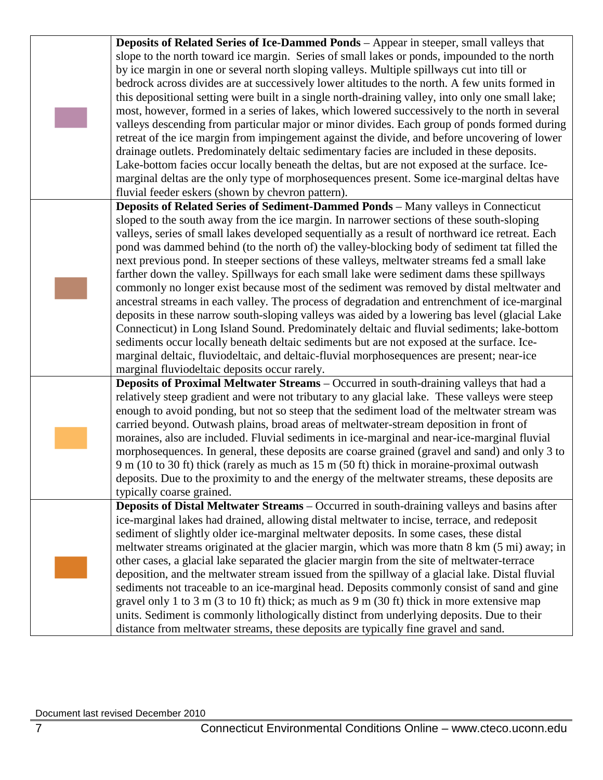<span id="page-6-0"></span>

|  | Deposits of Related Series of Ice-Dammed Ponds - Appear in steeper, small valleys that                                                                                                       |
|--|----------------------------------------------------------------------------------------------------------------------------------------------------------------------------------------------|
|  | slope to the north toward ice margin. Series of small lakes or ponds, impounded to the north                                                                                                 |
|  | by ice margin in one or several north sloping valleys. Multiple spillways cut into till or                                                                                                   |
|  | bedrock across divides are at successively lower altitudes to the north. A few units formed in                                                                                               |
|  | this depositional setting were built in a single north-draining valley, into only one small lake;                                                                                            |
|  | most, however, formed in a series of lakes, which lowered successively to the north in several                                                                                               |
|  | valleys descending from particular major or minor divides. Each group of ponds formed during                                                                                                 |
|  | retreat of the ice margin from impingement against the divide, and before uncovering of lower                                                                                                |
|  | drainage outlets. Predominately deltaic sedimentary facies are included in these deposits.                                                                                                   |
|  | Lake-bottom facies occur locally beneath the deltas, but are not exposed at the surface. Ice-                                                                                                |
|  | marginal deltas are the only type of morphosequences present. Some ice-marginal deltas have                                                                                                  |
|  | fluvial feeder eskers (shown by chevron pattern).                                                                                                                                            |
|  | Deposits of Related Series of Sediment-Dammed Ponds - Many valleys in Connecticut                                                                                                            |
|  | sloped to the south away from the ice margin. In narrower sections of these south-sloping                                                                                                    |
|  | valleys, series of small lakes developed sequentially as a result of northward ice retreat. Each                                                                                             |
|  |                                                                                                                                                                                              |
|  | pond was dammed behind (to the north of) the valley-blocking body of sediment tat filled the<br>next previous pond. In steeper sections of these valleys, meltwater streams fed a small lake |
|  |                                                                                                                                                                                              |
|  | farther down the valley. Spillways for each small lake were sediment dams these spillways                                                                                                    |
|  | commonly no longer exist because most of the sediment was removed by distal meltwater and                                                                                                    |
|  | ancestral streams in each valley. The process of degradation and entrenchment of ice-marginal                                                                                                |
|  | deposits in these narrow south-sloping valleys was aided by a lowering bas level (glacial Lake                                                                                               |
|  | Connecticut) in Long Island Sound. Predominately deltaic and fluvial sediments; lake-bottom                                                                                                  |
|  | sediments occur locally beneath deltaic sediments but are not exposed at the surface. Ice-                                                                                                   |
|  | marginal deltaic, fluviodeltaic, and deltaic-fluvial morphosequences are present; near-ice                                                                                                   |
|  | marginal fluviodeltaic deposits occur rarely.                                                                                                                                                |
|  | Deposits of Proximal Meltwater Streams - Occurred in south-draining valleys that had a                                                                                                       |
|  | relatively steep gradient and were not tributary to any glacial lake. These valleys were steep                                                                                               |
|  | enough to avoid ponding, but not so steep that the sediment load of the meltwater stream was                                                                                                 |
|  | carried beyond. Outwash plains, broad areas of meltwater-stream deposition in front of                                                                                                       |
|  | moraines, also are included. Fluvial sediments in ice-marginal and near-ice-marginal fluvial                                                                                                 |
|  | morphosequences. In general, these deposits are coarse grained (gravel and sand) and only 3 to                                                                                               |
|  | 9 m (10 to 30 ft) thick (rarely as much as 15 m (50 ft) thick in moraine-proximal outwash                                                                                                    |
|  | deposits. Due to the proximity to and the energy of the meltwater streams, these deposits are                                                                                                |
|  | typically coarse grained.                                                                                                                                                                    |
|  | Deposits of Distal Meltwater Streams - Occurred in south-draining valleys and basins after                                                                                                   |
|  | ice-marginal lakes had drained, allowing distal meltwater to incise, terrace, and redeposit                                                                                                  |
|  | sediment of slightly older ice-marginal meltwater deposits. In some cases, these distal                                                                                                      |
|  | meltwater streams originated at the glacier margin, which was more that n8 km (5 mi) away; in                                                                                                |
|  | other cases, a glacial lake separated the glacier margin from the site of meltwater-terrace                                                                                                  |
|  | deposition, and the meltwater stream issued from the spillway of a glacial lake. Distal fluvial                                                                                              |
|  | sediments not traceable to an ice-marginal head. Deposits commonly consist of sand and gine                                                                                                  |
|  | gravel only 1 to 3 m (3 to 10 ft) thick; as much as 9 m (30 ft) thick in more extensive map                                                                                                  |
|  | units. Sediment is commonly lithologically distinct from underlying deposits. Due to their                                                                                                   |
|  | distance from meltwater streams, these deposits are typically fine gravel and sand.                                                                                                          |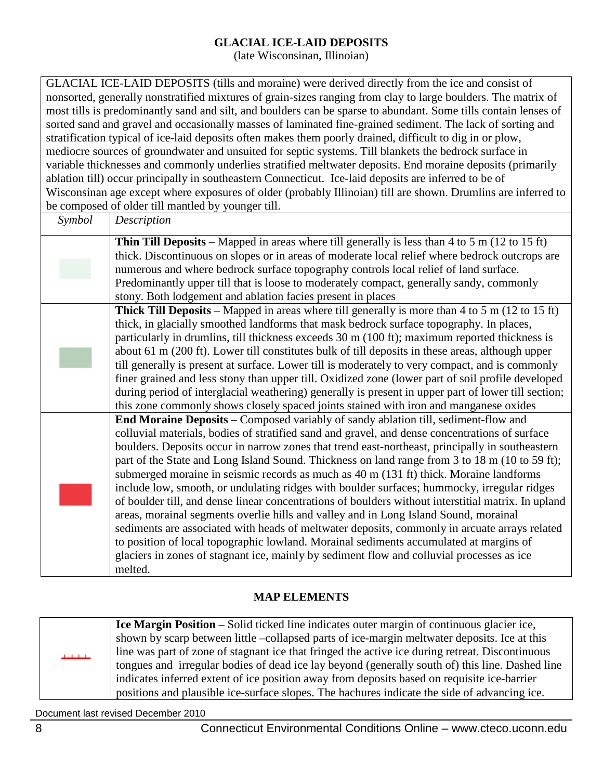#### **GLACIAL ICE-LAID DEPOSITS**

(late Wisconsinan, Illinoian)

GLACIAL ICE-LAID DEPOSITS (tills and moraine) were derived directly from the ice and consist of nonsorted, generally nonstratified mixtures of grain-sizes ranging from clay to large boulders. The matrix of most tills is predominantly sand and silt, and boulders can be sparse to abundant. Some tills contain lenses of sorted sand and gravel and occasionally masses of laminated fine-grained sediment. The lack of sorting and stratification typical of ice-laid deposits often makes them poorly drained, difficult to dig in or plow, mediocre sources of groundwater and unsuited for septic systems. Till blankets the bedrock surface in variable thicknesses and commonly underlies stratified meltwater deposits. End moraine deposits (primarily ablation till) occur principally in southeastern Connecticut. Ice-laid deposits are inferred to be of Wisconsinan age except where exposures of older (probably Illinoian) till are shown. Drumlins are inferred to be composed of older till mantled by younger till.

| Symbol | Description                                                                                                                                                                                 |
|--------|---------------------------------------------------------------------------------------------------------------------------------------------------------------------------------------------|
|        | <b>Thin Till Deposits</b> – Mapped in areas where till generally is less than 4 to 5 m (12 to 15 ft)                                                                                        |
|        | thick. Discontinuous on slopes or in areas of moderate local relief where bedrock outcrops are                                                                                              |
|        | numerous and where bedrock surface topography controls local relief of land surface.                                                                                                        |
|        | Predominantly upper till that is loose to moderately compact, generally sandy, commonly                                                                                                     |
|        | stony. Both lodgement and ablation facies present in places                                                                                                                                 |
|        | <b>Thick Till Deposits</b> – Mapped in areas where till generally is more than 4 to 5 m (12 to 15 ft)                                                                                       |
|        | thick, in glacially smoothed landforms that mask bedrock surface topography. In places,                                                                                                     |
|        | particularly in drumlins, till thickness exceeds 30 m (100 ft); maximum reported thickness is                                                                                               |
|        | about 61 m (200 ft). Lower till constitutes bulk of till deposits in these areas, although upper                                                                                            |
|        | till generally is present at surface. Lower till is moderately to very compact, and is commonly                                                                                             |
|        | finer grained and less stony than upper till. Oxidized zone (lower part of soil profile developed                                                                                           |
|        | during period of interglacial weathering) generally is present in upper part of lower till section;                                                                                         |
|        | this zone commonly shows closely spaced joints stained with iron and manganese oxides                                                                                                       |
|        | End Moraine Deposits – Composed variably of sandy ablation till, sediment-flow and                                                                                                          |
|        | colluvial materials, bodies of stratified sand and gravel, and dense concentrations of surface                                                                                              |
|        | boulders. Deposits occur in narrow zones that trend east-northeast, principally in southeastern                                                                                             |
|        | part of the State and Long Island Sound. Thickness on land range from 3 to 18 m (10 to 59 ft);                                                                                              |
|        | submerged moraine in seismic records as much as 40 m (131 ft) thick. Moraine landforms                                                                                                      |
|        | include low, smooth, or undulating ridges with boulder surfaces; hummocky, irregular ridges                                                                                                 |
|        | of boulder till, and dense linear concentrations of boulders without interstitial matrix. In upland<br>areas, morainal segments overlie hills and valley and in Long Island Sound, morainal |
|        | sediments are associated with heads of meltwater deposits, commonly in arcuate arrays related                                                                                               |
|        | to position of local topographic lowland. Morainal sediments accumulated at margins of                                                                                                      |
|        | glaciers in zones of stagnant ice, mainly by sediment flow and colluvial processes as ice                                                                                                   |
|        | melted.                                                                                                                                                                                     |
|        |                                                                                                                                                                                             |

#### **MAP ELEMENTS**

<span id="page-7-0"></span>**Ice Margin Position** – Solid ticked line indicates outer margin of continuous glacier ice, shown by scarp between little –collapsed parts of ice-margin meltwater deposits. Ice at this line was part of zone of stagnant ice that fringed the active ice during retreat. Discontinuous tongues and irregular bodies of dead ice lay beyond (generally south of) this line. Dashed line indicates inferred extent of ice position away from deposits based on requisite ice-barrier positions and plausible ice-surface slopes. The hachures indicate the side of advancing ice.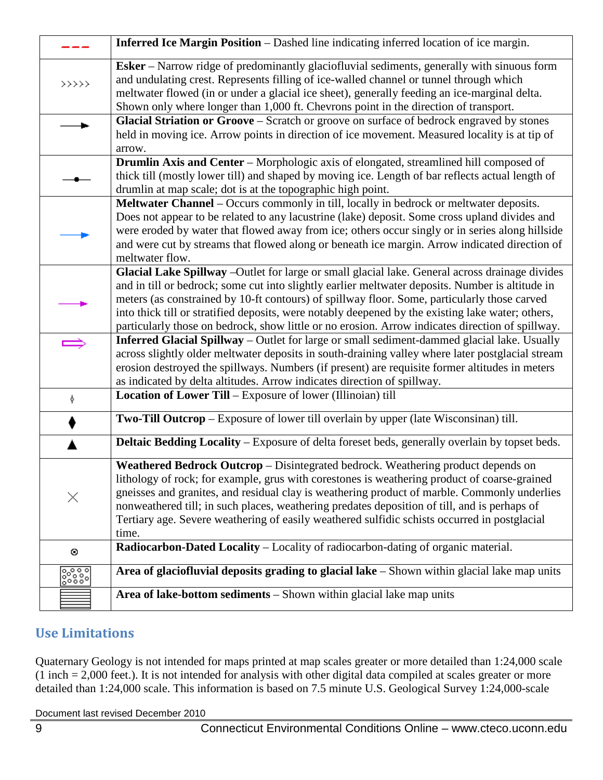|                                                         | Inferred Ice Margin Position - Dashed line indicating inferred location of ice margin.                                                                                                                                                                                                                                                                                                                                                                                                                       |
|---------------------------------------------------------|--------------------------------------------------------------------------------------------------------------------------------------------------------------------------------------------------------------------------------------------------------------------------------------------------------------------------------------------------------------------------------------------------------------------------------------------------------------------------------------------------------------|
| $\rightarrow$ $\rightarrow$ $\rightarrow$ $\rightarrow$ | Esker - Narrow ridge of predominantly glaciofluvial sediments, generally with sinuous form<br>and undulating crest. Represents filling of ice-walled channel or tunnel through which<br>meltwater flowed (in or under a glacial ice sheet), generally feeding an ice-marginal delta.<br>Shown only where longer than 1,000 ft. Chevrons point in the direction of transport.                                                                                                                                 |
|                                                         | Glacial Striation or Groove - Scratch or groove on surface of bedrock engraved by stones<br>held in moving ice. Arrow points in direction of ice movement. Measured locality is at tip of<br>arrow.                                                                                                                                                                                                                                                                                                          |
|                                                         | Drumlin Axis and Center - Morphologic axis of elongated, streamlined hill composed of<br>thick till (mostly lower till) and shaped by moving ice. Length of bar reflects actual length of<br>drumlin at map scale; dot is at the topographic high point.                                                                                                                                                                                                                                                     |
|                                                         | Meltwater Channel – Occurs commonly in till, locally in bedrock or meltwater deposits.<br>Does not appear to be related to any lacustrine (lake) deposit. Some cross upland divides and<br>were eroded by water that flowed away from ice; others occur singly or in series along hillside<br>and were cut by streams that flowed along or beneath ice margin. Arrow indicated direction of<br>meltwater flow.                                                                                               |
|                                                         | Glacial Lake Spillway - Outlet for large or small glacial lake. General across drainage divides<br>and in till or bedrock; some cut into slightly earlier meltwater deposits. Number is altitude in<br>meters (as constrained by 10-ft contours) of spillway floor. Some, particularly those carved<br>into thick till or stratified deposits, were notably deepened by the existing lake water; others,<br>particularly those on bedrock, show little or no erosion. Arrow indicates direction of spillway. |
|                                                         | <b>Inferred Glacial Spillway</b> – Outlet for large or small sediment-dammed glacial lake. Usually<br>across slightly older meltwater deposits in south-draining valley where later postglacial stream<br>erosion destroyed the spillways. Numbers (if present) are requisite former altitudes in meters<br>as indicated by delta altitudes. Arrow indicates direction of spillway.                                                                                                                          |
| Ŷ.                                                      | <b>Location of Lower Till</b> – Exposure of lower (Illinoian) till                                                                                                                                                                                                                                                                                                                                                                                                                                           |
|                                                         | Two-Till Outcrop - Exposure of lower till overlain by upper (late Wisconsinan) till.                                                                                                                                                                                                                                                                                                                                                                                                                         |
|                                                         | Deltaic Bedding Locality - Exposure of delta foreset beds, generally overlain by topset beds.                                                                                                                                                                                                                                                                                                                                                                                                                |
| ×                                                       | Weathered Bedrock Outcrop - Disintegrated bedrock. Weathering product depends on<br>lithology of rock; for example, grus with corestones is weathering product of coarse-grained<br>gneisses and granites, and residual clay is weathering product of marble. Commonly underlies<br>nonweathered till; in such places, weathering predates deposition of till, and is perhaps of<br>Tertiary age. Severe weathering of easily weathered sulfidic schists occurred in postglacial<br>time.                    |
| $\odot$                                                 | Radiocarbon-Dated Locality - Locality of radiocarbon-dating of organic material.                                                                                                                                                                                                                                                                                                                                                                                                                             |
| န္ကြားရွိ                                               | Area of glaciofluvial deposits grading to glacial lake - Shown within glacial lake map units                                                                                                                                                                                                                                                                                                                                                                                                                 |
|                                                         | Area of lake-bottom sediments – Shown within glacial lake map units                                                                                                                                                                                                                                                                                                                                                                                                                                          |

## **Use Limitations**

Quaternary Geology is not intended for maps printed at map scales greater or more detailed than 1:24,000 scale (1 inch = 2,000 feet.). It is not intended for analysis with other digital data compiled at scales greater or more detailed than 1:24,000 scale. This information is based on 7.5 minute U.S. Geological Survey 1:24,000-scale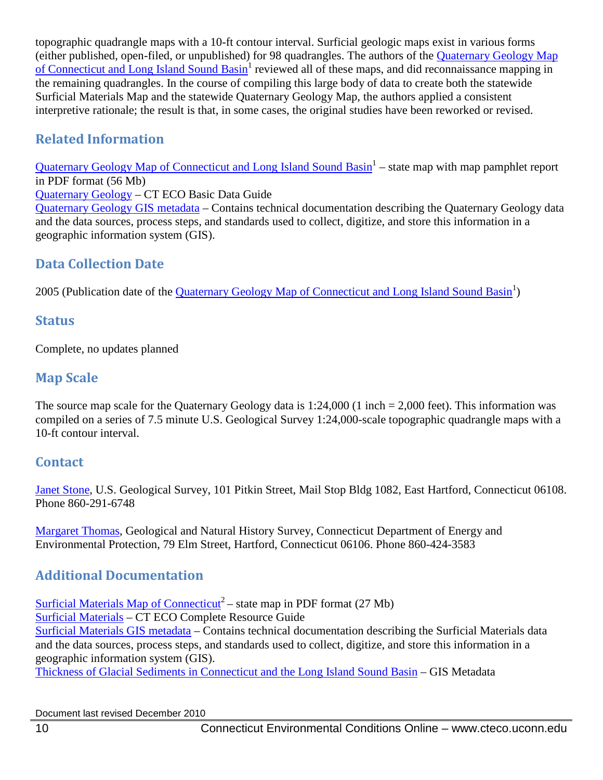topographic quadrangle maps with a 10-ft contour interval. Surficial geologic maps exist in various forms (either published, open-filed, or unpublished) for 98 quadrangles. The authors of the [Quaternary Geology Map](http://cteco.uconn.edu/map_catalog/maps/state/Quaternary_Geologic_Map_of_Connecticut_and_Long_Island_Sound_Basin.pdf)  of Connecticut and Long Island Sound Basin<sup>1</sup> reviewed all of these maps, and did reconnaissance mapping in the remaining quadrangles. In the course of compiling this large body of data to create both the statewide Surficial Materials Map and the statewide Quaternary Geology Map, the authors applied a consistent interpretive rationale; the result is that, in some cases, the original studies have been reworked or revised.

## **Related Information**

[Quaternary Geology Map of Connecticut](http://cteco.uconn.edu/map_catalog/maps/state/Quaternary_Geologic_Map_of_Connecticut_and_Long_Island_Sound_Basin.pdf) and Long Island Sound Basin<sup>1</sup> – state map with map pamphlet report in PDF format (56 Mb)

[Quaternary Geology](http://www.cteco.uconn.edu/guides/Quaternar_Geology.htm) – CT ECO Basic Data Guide

[Quaternary Geology GIS metadata](http://www.cteco.uconn.edu/metadata/dep/document/QUATERNARY_GEOLOGY_POLY_FGDC_Plus.htm) – Contains technical documentation describing the Quaternary Geology data and the data sources, process steps, and standards used to collect, digitize, and store this information in a geographic information system (GIS).

## **Data Collection Date**

2005 (Publication date of the *Quaternary Geology Map of Connecticut and Long Island Sound Basin<sup>1</sup>*)

## **Status**

Complete, no updates planned

## **Map Scale**

The source map scale for the Quaternary Geology data is 1:24,000 (1 inch = 2,000 feet). This information was compiled on a series of 7.5 minute U.S. Geological Survey 1:24,000-scale topographic quadrangle maps with a 10-ft contour interval.

## **Contact**

[Janet Stone,](mailto:jrstone@usgs.gov) U.S. Geological Survey, 101 Pitkin Street, Mail Stop Bldg 1082, East Hartford, Connecticut 06108. Phone 860-291-6748

[Margaret Thomas,](mailto:Margaret.Thomas@ct.gov) Geological and Natural History Survey, Connecticut Department of Energy and Environmental Protection, 79 Elm Street, Hartford, Connecticut 06106. Phone 860-424-3583

## **Additional Documentation**

[Surficial Materials Map of Connecticut](http://cteco.uconn.edu/map_catalog/maps/state/Surficial_Materials_Map_of_Connecticut.pdf)<sup>2</sup> – state map in PDF format (27 Mb) [Surficial Materials](http://www.cteco.uconn.edu/guides/resource/CT_ECO_Resource_Guide_Surficial_Material.pdf) – CT ECO Complete Resource Guide [Surficial Materials GIS metadata](http://www.cteco.uconn.edu/metadata/dep/document/SURFICIAL_MATERIAL_POLY_FGDC_Plus.htm) – Contains technical documentation describing the Surficial Materials data and the data sources, process steps, and standards used to collect, digitize, and store this information in a geographic information system (GIS).

[Thickness of Glacial Sediments in Connecticut and the Long Island Sound Basin](http://www.cteco.uconn.edu/metadata/dep/document/GLACIAL_SEDIMENT_THICKNESS_POLY_FGDC_Plus.htm) – GIS Metadata